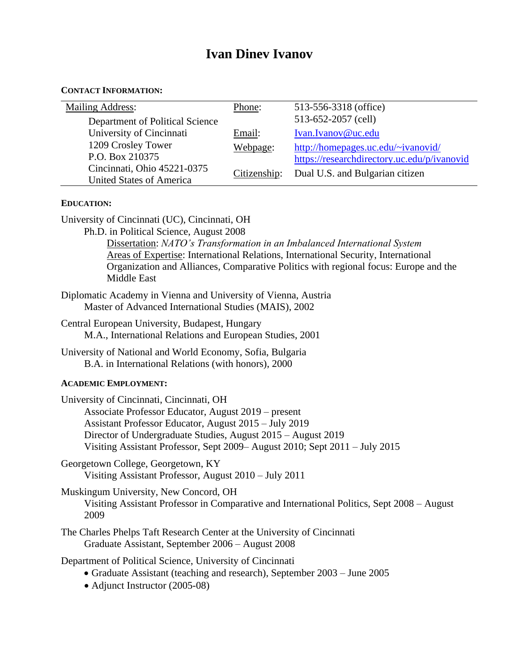# **Ivan Dinev Ivanov**

| <b>CONTACT INFORMATION:</b> |  |
|-----------------------------|--|
|                             |  |

| <b>Mailing Address:</b>         | Phone:       | 513-556-3318 (office)                       |
|---------------------------------|--------------|---------------------------------------------|
| Department of Political Science |              | 513-652-2057 (cell)                         |
| University of Cincinnati        | Email:       | Ivan.Ivanov@uc.edu                          |
| 1209 Crosley Tower              | Webpage:     | http://homepages.uc.edu/~ivanovid/          |
| P.O. Box 210375                 |              | https://researchdirectory.uc.edu/p/ivanovid |
| Cincinnati, Ohio 45221-0375     | Citizenship: | Dual U.S. and Bulgarian citizen             |
| <b>United States of America</b> |              |                                             |

#### **EDUCATION:**

University of Cincinnati (UC), Cincinnati, OH

Ph.D. in Political Science, August 2008

Dissertation: *NATO's Transformation in an Imbalanced International System* Areas of Expertise: International Relations, International Security, International Organization and Alliances, Comparative Politics with regional focus: Europe and the Middle East

- Diplomatic Academy in Vienna and University of Vienna, Austria Master of Advanced International Studies (MAIS), 2002
- Central European University, Budapest, Hungary M.A., International Relations and European Studies, 2001
- University of National and World Economy, Sofia, Bulgaria B.A. in International Relations (with honors), 2000

#### **ACADEMIC EMPLOYMENT:**

| University of Cincinnati, Cincinnati, OH                                   |
|----------------------------------------------------------------------------|
| Associate Professor Educator, August 2019 – present                        |
| Assistant Professor Educator, August 2015 – July 2019                      |
| Director of Undergraduate Studies, August 2015 – August 2019               |
| Visiting Assistant Professor, Sept 2009–August 2010; Sept 2011 – July 2015 |

Georgetown College, Georgetown, KY Visiting Assistant Professor, August 2010 – July 2011

Muskingum University, New Concord, OH Visiting Assistant Professor in Comparative and International Politics, Sept 2008 – August 2009

The Charles Phelps Taft Research Center at the University of Cincinnati Graduate Assistant, September 2006 – August 2008

Department of Political Science, University of Cincinnati

- Graduate Assistant (teaching and research), September 2003 June 2005
- Adjunct Instructor (2005-08)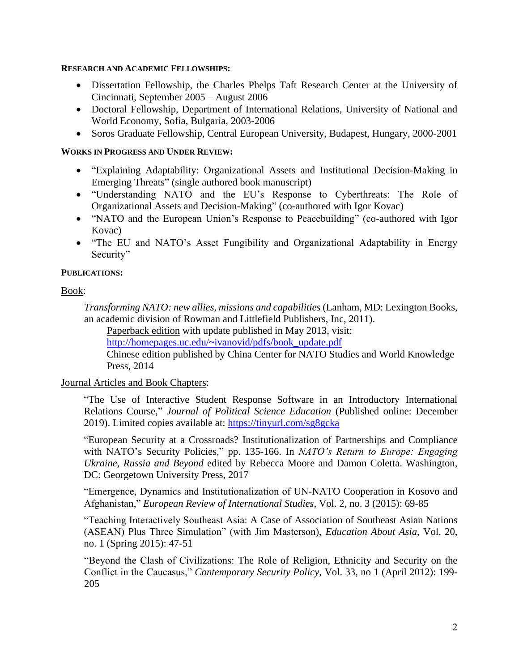#### **RESEARCH AND ACADEMIC FELLOWSHIPS:**

- Dissertation Fellowship, the Charles Phelps Taft Research Center at the University of Cincinnati, September 2005 – August 2006
- Doctoral Fellowship, Department of International Relations, University of National and World Economy, Sofia, Bulgaria, 2003-2006
- Soros Graduate Fellowship, Central European University, Budapest, Hungary, 2000-2001

### **WORKS IN PROGRESS AND UNDER REVIEW:**

- "Explaining Adaptability: Organizational Assets and Institutional Decision-Making in Emerging Threats" (single authored book manuscript)
- "Understanding NATO and the EU's Response to Cyberthreats: The Role of Organizational Assets and Decision-Making" (co-authored with Igor Kovac)
- "NATO and the European Union's Response to Peacebuilding" (co-authored with Igor Kovac)
- "The EU and NATO's Asset Fungibility and Organizational Adaptability in Energy Security"

### **PUBLICATIONS:**

### Book:

*Transforming NATO: new allies, missions and capabilities* (Lanham, MD: Lexington Books, an academic division of Rowman and Littlefield Publishers, Inc, 2011).

Paperback edition with update published in May 2013, visit:

[http://homepages.uc.edu/~ivanovid/pdfs/book\\_update.pdf](http://homepages.uc.edu/~ivanovid/pdfs/book_update.pdf)

Chinese edition published by China Center for NATO Studies and World Knowledge Press, 2014

### Journal Articles and Book Chapters:

"The Use of Interactive Student Response Software in an Introductory International Relations Course," *Journal of Political Science Education* (Published online: December 2019). Limited copies available at:<https://tinyurl.com/sg8gcka>

"European Security at a Crossroads? Institutionalization of Partnerships and Compliance with NATO's Security Policies," pp. 135-166. In *NATO's Return to Europe: Engaging Ukraine, Russia and Beyond* edited by Rebecca Moore and Damon Coletta. Washington, DC: Georgetown University Press, 2017

"Emergence, Dynamics and Institutionalization of UN-NATO Cooperation in Kosovo and Afghanistan," *European Review of International Studies*, Vol. 2, no. 3 (2015): 69-85

"Teaching Interactively Southeast Asia: A Case of Association of Southeast Asian Nations (ASEAN) Plus Three Simulation" (with Jim Masterson), *Education About Asia*, Vol. 20, no. 1 (Spring 2015): 47-51

"Beyond the Clash of Civilizations: The Role of Religion, Ethnicity and Security on the Conflict in the Caucasus," *Contemporary Security Policy*, Vol. 33, no 1 (April 2012): 199- 205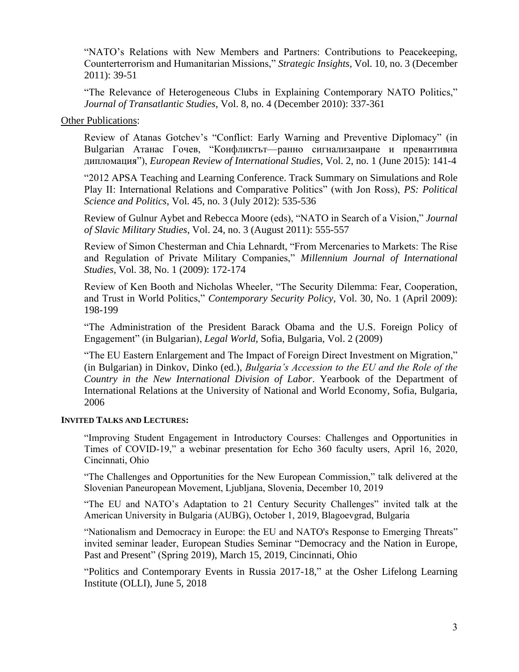"NATO's Relations with New Members and Partners: Contributions to Peacekeeping, Counterterrorism and Humanitarian Missions," *Strategic Insights*, Vol. 10, no. 3 (December 2011): 39-51

"The Relevance of Heterogeneous Clubs in Explaining Contemporary NATO Politics," *Journal of Transatlantic Studies*, Vol. 8, no. 4 (December 2010): 337-361

Other Publications:

Review of Atanas Gotchev's "Conflict: Early Warning and Preventive Diplomacy" (in Bulgarian Атанас Гочев, "Конфликтът—ранно сигнализаиране и превантивна дипломация"), *European Review of International Studies*, Vol. 2, no. 1 (June 2015): 141-4

"2012 APSA Teaching and Learning Conference. Track Summary on Simulations and Role Play II: International Relations and Comparative Politics" (with Jon Ross), *PS: Political Science and Politics*, Vol. 45, no. 3 (July 2012): 535-536

Review of Gulnur Aybet and Rebecca Moore (eds), "NATO in Search of a Vision," *Journal of Slavic Military Studies*, Vol. 24, no. 3 (August 2011): 555-557

Review of Simon Chesterman and Chia Lehnardt, "From Mercenaries to Markets: The Rise and Regulation of Private Military Companies," *Millennium Journal of International Studies*, Vol. 38, No. 1 (2009): 172-174

Review of Ken Booth and Nicholas Wheeler, "The Security Dilemma: Fear, Cooperation, and Trust in World Politics," *Contemporary Security Policy*, Vol. 30, No. 1 (April 2009): 198-199

"The Administration of the President Barack Obama and the U.S. Foreign Policy of Engagement" (in Bulgarian), *Legal World,* Sofia, Bulgaria, Vol. 2 (2009)

"The EU Eastern Enlargement and The Impact of Foreign Direct Investment on Migration," (in Bulgarian) in Dinkov, Dinko (ed.), *Bulgaria's Accession to the EU and the Role of the Country in the New International Division of Labor*. Yearbook of the Department of International Relations at the University of National and World Economy, Sofia, Bulgaria, 2006

#### **INVITED TALKS AND LECTURES:**

"Improving Student Engagement in Introductory Courses: Challenges and Opportunities in Times of COVID-19," a webinar presentation for Echo 360 faculty users, April 16, 2020, Cincinnati, Ohio

"The Challenges and Opportunities for the New European Commission," talk delivered at the Slovenian Paneuropean Movement, Ljubljana, Slovenia, December 10, 2019

"The EU and NATO's Adaptation to 21 Century Security Challenges" invited talk at the American University in Bulgaria (AUBG), October 1, 2019, Blagoevgrad, Bulgaria

"Nationalism and Democracy in Europe: the EU and NATO's Response to Emerging Threats" invited seminar leader, European Studies Seminar "Democracy and the Nation in Europe, Past and Present" (Spring 2019), March 15, 2019, Cincinnati, Ohio

"Politics and Contemporary Events in Russia 2017-18," at the Osher Lifelong Learning Institute (OLLI), June 5, 2018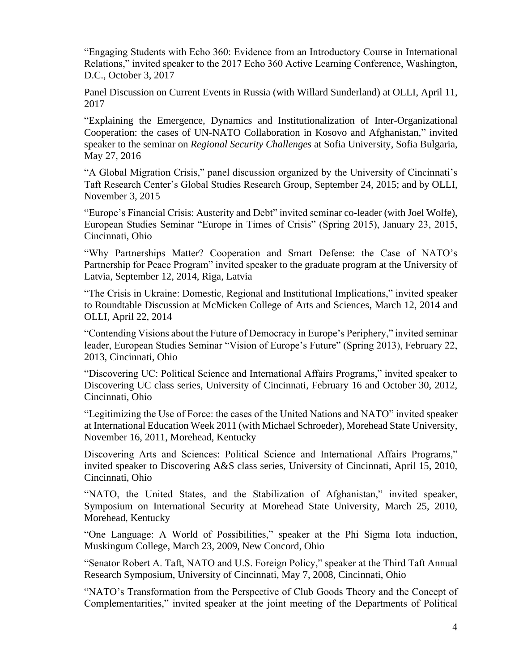"Engaging Students with Echo 360: Evidence from an Introductory Course in International Relations," invited speaker to the 2017 Echo 360 Active Learning Conference, Washington, D.C., October 3, 2017

Panel Discussion on Current Events in Russia (with Willard Sunderland) at OLLI, April 11, 2017

"Explaining the Emergence, Dynamics and Institutionalization of Inter-Organizational Cooperation: the cases of UN-NATO Collaboration in Kosovo and Afghanistan," invited speaker to the seminar on *Regional Security Challenges* at Sofia University, Sofia Bulgaria, May 27, 2016

"A Global Migration Crisis," panel discussion organized by the University of Cincinnati's Taft Research Center's Global Studies Research Group, September 24, 2015; and by OLLI, November 3, 2015

"Europe's Financial Crisis: Austerity and Debt" invited seminar co-leader (with Joel Wolfe), European Studies Seminar "Europe in Times of Crisis" (Spring 2015), January 23, 2015, Cincinnati, Ohio

"Why Partnerships Matter? Cooperation and Smart Defense: the Case of NATO's Partnership for Peace Program" invited speaker to the graduate program at the University of Latvia, September 12, 2014, Riga, Latvia

"The Crisis in Ukraine: Domestic, Regional and Institutional Implications," invited speaker to Roundtable Discussion at McMicken College of Arts and Sciences, March 12, 2014 and OLLI, April 22, 2014

"Contending Visions about the Future of Democracy in Europe's Periphery," invited seminar leader, European Studies Seminar "Vision of Europe's Future" (Spring 2013), February 22, 2013, Cincinnati, Ohio

"Discovering UC: Political Science and International Affairs Programs," invited speaker to Discovering UC class series, University of Cincinnati, February 16 and October 30, 2012, Cincinnati, Ohio

"Legitimizing the Use of Force: the cases of the United Nations and NATO" invited speaker at International Education Week 2011 (with Michael Schroeder), Morehead State University, November 16, 2011, Morehead, Kentucky

Discovering Arts and Sciences: Political Science and International Affairs Programs," invited speaker to Discovering A&S class series, University of Cincinnati, April 15, 2010, Cincinnati, Ohio

"NATO, the United States, and the Stabilization of Afghanistan," invited speaker, Symposium on International Security at Morehead State University, March 25, 2010, Morehead, Kentucky

"One Language: A World of Possibilities," speaker at the Phi Sigma Iota induction, Muskingum College, March 23, 2009, New Concord, Ohio

"Senator Robert A. Taft, NATO and U.S. Foreign Policy," speaker at the Third Taft Annual Research Symposium, University of Cincinnati, May 7, 2008, Cincinnati, Ohio

"NATO's Transformation from the Perspective of Club Goods Theory and the Concept of Complementarities," invited speaker at the joint meeting of the Departments of Political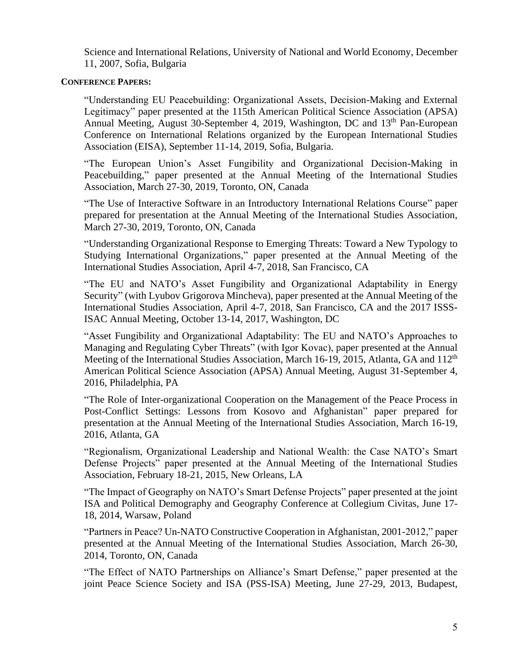Science and International Relations, University of National and World Economy, December 11, 2007, Sofia, Bulgaria

### **CONFERENCE PAPERS:**

"Understanding EU Peacebuilding: Organizational Assets, Decision-Making and External Legitimacy" paper presented at the 115th American Political Science Association (APSA) Annual Meeting, August 30-September 4, 2019, Washington, DC and 13<sup>th</sup> Pan-European Conference on International Relations organized by the European International Studies Association (EISA), September 11-14, 2019, Sofia, Bulgaria.

"The European Union's Asset Fungibility and Organizational Decision-Making in Peacebuilding," paper presented at the Annual Meeting of the International Studies Association, March 27-30, 2019, Toronto, ON, Canada

"The Use of Interactive Software in an Introductory International Relations Course" paper prepared for presentation at the Annual Meeting of the International Studies Association, March 27-30, 2019, Toronto, ON, Canada

"Understanding Organizational Response to Emerging Threats: Toward a New Typology to Studying International Organizations," paper presented at the Annual Meeting of the International Studies Association, April 4-7, 2018, San Francisco, CA

"The EU and NATO's Asset Fungibility and Organizational Adaptability in Energy Security" (with Lyubov Grigorova Mincheva), paper presented at the Annual Meeting of the International Studies Association, April 4-7, 2018, San Francisco, CA and the 2017 ISSS-ISAC Annual Meeting, October 13-14, 2017, Washington, DC

"Asset Fungibility and Organizational Adaptability: The EU and NATO's Approaches to Managing and Regulating Cyber Threats" (with Igor Kovac), paper presented at the Annual Meeting of the International Studies Association, March 16-19, 2015, Atlanta, GA and 112<sup>th</sup> American Political Science Association (APSA) Annual Meeting, August 31-September 4, 2016, Philadelphia, PA

"The Role of Inter-organizational Cooperation on the Management of the Peace Process in Post-Conflict Settings: Lessons from Kosovo and Afghanistan" paper prepared for presentation at the Annual Meeting of the International Studies Association, March 16-19, 2016, Atlanta, GA

"Regionalism, Organizational Leadership and National Wealth: the Case NATO's Smart Defense Projects" paper presented at the Annual Meeting of the International Studies Association, February 18-21, 2015, New Orleans, LA

"The Impact of Geography on NATO's Smart Defense Projects" paper presented at the joint ISA and Political Demography and Geography Conference at Collegium Civitas, June 17- 18, 2014, Warsaw, Poland

"Partners in Peace? Un-NATO Constructive Cooperation in Afghanistan, 2001-2012," paper presented at the Annual Meeting of the International Studies Association, March 26-30, 2014, Toronto, ON, Canada

"The Effect of NATO Partnerships on Alliance's Smart Defense," paper presented at the joint Peace Science Society and ISA (PSS-ISA) Meeting, June 27-29, 2013, Budapest,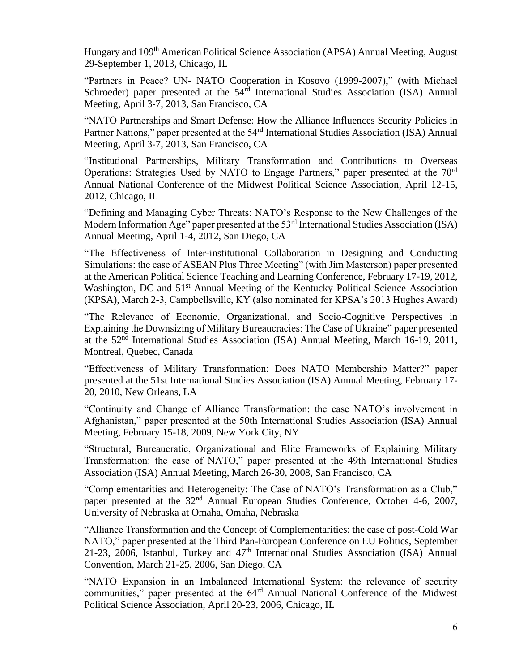Hungary and 109<sup>th</sup> American Political Science Association (APSA) Annual Meeting, August 29-September 1, 2013, Chicago, IL

"Partners in Peace? UN- NATO Cooperation in Kosovo (1999-2007)," (with Michael Schroeder) paper presented at the 54<sup>rd</sup> International Studies Association (ISA) Annual Meeting, April 3-7, 2013, San Francisco, CA

"NATO Partnerships and Smart Defense: How the Alliance Influences Security Policies in Partner Nations," paper presented at the 54<sup>rd</sup> International Studies Association (ISA) Annual Meeting, April 3-7, 2013, San Francisco, CA

"Institutional Partnerships, Military Transformation and Contributions to Overseas Operations: Strategies Used by NATO to Engage Partners," paper presented at the 70rd Annual National Conference of the Midwest Political Science Association, April 12-15, 2012, Chicago, IL

"Defining and Managing Cyber Threats: NATO's Response to the New Challenges of the Modern Information Age" paper presented at the 53<sup>rd</sup> International Studies Association (ISA) Annual Meeting, April 1-4, 2012, San Diego, CA

"The Effectiveness of Inter-institutional Collaboration in Designing and Conducting Simulations: the case of ASEAN Plus Three Meeting" (with Jim Masterson) paper presented at the American Political Science Teaching and Learning Conference, February 17-19, 2012, Washington, DC and  $51<sup>st</sup>$  Annual Meeting of the Kentucky Political Science Association (KPSA), March 2-3, Campbellsville, KY (also nominated for KPSA's 2013 Hughes Award)

"The Relevance of Economic, Organizational, and Socio-Cognitive Perspectives in Explaining the Downsizing of Military Bureaucracies: The Case of Ukraine" paper presented at the 52nd International Studies Association (ISA) Annual Meeting, March 16-19, 2011, Montreal, Quebec, Canada

"Effectiveness of Military Transformation: Does NATO Membership Matter?" paper presented at the 51st International Studies Association (ISA) Annual Meeting, February 17- 20, 2010, New Orleans, LA

"Continuity and Change of Alliance Transformation: the case NATO's involvement in Afghanistan," paper presented at the 50th International Studies Association (ISA) Annual Meeting, February 15-18, 2009, New York City, NY

"Structural, Bureaucratic, Organizational and Elite Frameworks of Explaining Military Transformation: the case of NATO," paper presented at the 49th International Studies Association (ISA) Annual Meeting, March 26-30, 2008, San Francisco, CA

"Complementarities and Heterogeneity: The Case of NATO's Transformation as a Club," paper presented at the 32<sup>nd</sup> Annual European Studies Conference, October 4-6, 2007, University of Nebraska at Omaha, Omaha, Nebraska

"Alliance Transformation and the Concept of Complementarities: the case of post-Cold War NATO," paper presented at the Third Pan-European Conference on EU Politics, September 21-23, 2006, Istanbul, Turkey and 47<sup>th</sup> International Studies Association (ISA) Annual Convention, March 21-25, 2006, San Diego, CA

"NATO Expansion in an Imbalanced International System: the relevance of security communities," paper presented at the 64<sup>rd</sup> Annual National Conference of the Midwest Political Science Association, April 20-23, 2006, Chicago, IL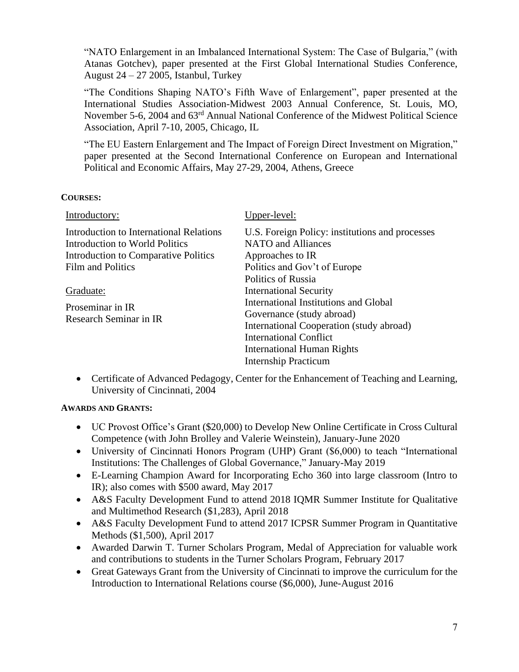"NATO Enlargement in an Imbalanced International System: The Case of Bulgaria," (with Atanas Gotchev), paper presented at the First Global International Studies Conference, August 24 – 27 2005, Istanbul, Turkey

"The Conditions Shaping NATO's Fifth Wave of Enlargement", paper presented at the International Studies Association-Midwest 2003 Annual Conference, St. Louis, MO, November 5-6, 2004 and 63rd Annual National Conference of the Midwest Political Science Association, April 7-10, 2005, Chicago, IL

"The EU Eastern Enlargement and The Impact of Foreign Direct Investment on Migration," paper presented at the Second International Conference on European and International Political and Economic Affairs, May 27-29, 2004, Athens, Greece

### **COURSES:**

| Introductory:                                                                                                                          | Upper-level:                                                                                                                                                                                                                                                                      |
|----------------------------------------------------------------------------------------------------------------------------------------|-----------------------------------------------------------------------------------------------------------------------------------------------------------------------------------------------------------------------------------------------------------------------------------|
| Introduction to International Relations<br>Introduction to World Politics<br>Introduction to Comparative Politics<br>Film and Politics | U.S. Foreign Policy: institutions and processes<br><b>NATO</b> and Alliances<br>Approaches to IR<br>Politics and Gov't of Europe                                                                                                                                                  |
| Graduate:<br>Proseminar in IR<br>Research Seminar in IR                                                                                | <b>Politics of Russia</b><br><b>International Security</b><br>International Institutions and Global<br>Governance (study abroad)<br>International Cooperation (study abroad)<br><b>International Conflict</b><br><b>International Human Rights</b><br><b>Internship Practicum</b> |

• Certificate of Advanced Pedagogy, Center for the Enhancement of Teaching and Learning, University of Cincinnati, 2004

# **AWARDS AND GRANTS:**

- UC Provost Office's Grant (\$20,000) to Develop New Online Certificate in Cross Cultural Competence (with John Brolley and Valerie Weinstein), January-June 2020
- University of Cincinnati Honors Program (UHP) Grant (\$6,000) to teach "International Institutions: The Challenges of Global Governance," January-May 2019
- E-Learning Champion Award for Incorporating Echo 360 into large classroom (Intro to IR); also comes with \$500 award, May 2017
- A&S Faculty Development Fund to attend 2018 IQMR Summer Institute for Qualitative and Multimethod Research (\$1,283), April 2018
- A&S Faculty Development Fund to attend 2017 ICPSR Summer Program in Quantitative Methods (\$1,500), April 2017
- Awarded Darwin T. Turner Scholars Program, Medal of Appreciation for valuable work and contributions to students in the Turner Scholars Program, February 2017
- Great Gateways Grant from the University of Cincinnati to improve the curriculum for the Introduction to International Relations course (\$6,000), June-August 2016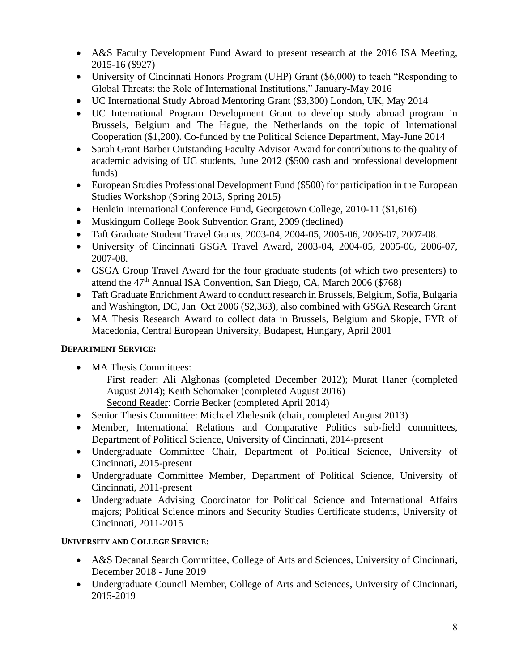- A&S Faculty Development Fund Award to present research at the 2016 ISA Meeting, 2015-16 (\$927)
- University of Cincinnati Honors Program (UHP) Grant (\$6,000) to teach "Responding to Global Threats: the Role of International Institutions," January-May 2016
- UC International Study Abroad Mentoring Grant (\$3,300) London, UK, May 2014
- UC International Program Development Grant to develop study abroad program in Brussels, Belgium and The Hague, the Netherlands on the topic of International Cooperation (\$1,200). Co-funded by the Political Science Department, May-June 2014
- Sarah Grant Barber Outstanding Faculty Advisor Award for contributions to the quality of academic advising of UC students, June 2012 (\$500 cash and professional development funds)
- European Studies Professional Development Fund (\$500) for participation in the European Studies Workshop (Spring 2013, Spring 2015)
- Henlein International Conference Fund, Georgetown College, 2010-11 (\$1,616)
- Muskingum College Book Subvention Grant, 2009 (declined)
- Taft Graduate Student Travel Grants, 2003-04, 2004-05, 2005-06, 2006-07, 2007-08.
- University of Cincinnati GSGA Travel Award, 2003-04, 2004-05, 2005-06, 2006-07, 2007-08.
- GSGA Group Travel Award for the four graduate students (of which two presenters) to attend the 47<sup>th</sup> Annual ISA Convention, San Diego, CA, March 2006 (\$768)
- Taft Graduate Enrichment Award to conduct research in Brussels, Belgium, Sofia, Bulgaria and Washington, DC, Jan–Oct 2006 (\$2,363), also combined with GSGA Research Grant
- MA Thesis Research Award to collect data in Brussels, Belgium and Skopje, FYR of Macedonia, Central European University, Budapest, Hungary, April 2001

# **DEPARTMENT SERVICE:**

• MA Thesis Committees:

First reader: Ali Alghonas (completed December 2012); Murat Haner (completed August 2014); Keith Schomaker (completed August 2016) Second Reader: Corrie Becker (completed April 2014)

- Senior Thesis Committee: Michael Zhelesnik (chair, completed August 2013)
- Member, International Relations and Comparative Politics sub-field committees, Department of Political Science, University of Cincinnati, 2014-present
- Undergraduate Committee Chair, Department of Political Science, University of Cincinnati, 2015-present
- Undergraduate Committee Member, Department of Political Science, University of Cincinnati, 2011-present
- Undergraduate Advising Coordinator for Political Science and International Affairs majors; Political Science minors and Security Studies Certificate students, University of Cincinnati, 2011-2015

# **UNIVERSITY AND COLLEGE SERVICE:**

- A&S Decanal Search Committee, College of Arts and Sciences, University of Cincinnati, December 2018 - June 2019
- Undergraduate Council Member, College of Arts and Sciences, University of Cincinnati, 2015-2019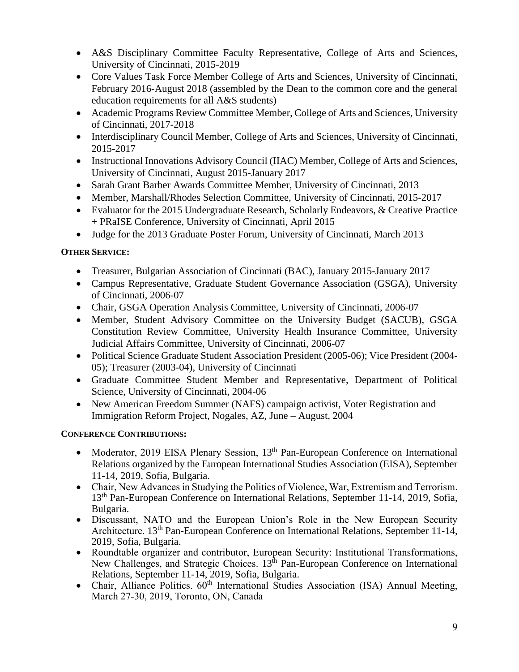- A&S Disciplinary Committee Faculty Representative, College of Arts and Sciences, University of Cincinnati, 2015-2019
- Core Values Task Force Member College of Arts and Sciences, University of Cincinnati, February 2016-August 2018 (assembled by the Dean to the common core and the general education requirements for all A&S students)
- Academic Programs Review Committee Member, College of Arts and Sciences, University of Cincinnati, 2017-2018
- Interdisciplinary Council Member, College of Arts and Sciences, University of Cincinnati, 2015-2017
- Instructional Innovations Advisory Council (IIAC) Member, College of Arts and Sciences, University of Cincinnati, August 2015-January 2017
- Sarah Grant Barber Awards Committee Member, University of Cincinnati, 2013
- Member, Marshall/Rhodes Selection Committee, University of Cincinnati, 2015-2017
- Evaluator for the 2015 Undergraduate Research, Scholarly Endeavors, & Creative Practice + PRaISE Conference, University of Cincinnati, April 2015
- Judge for the 2013 Graduate Poster Forum, University of Cincinnati, March 2013

# **OTHER SERVICE:**

- Treasurer, Bulgarian Association of Cincinnati (BAC), January 2015-January 2017
- Campus Representative, Graduate Student Governance Association (GSGA), University of Cincinnati, 2006-07
- Chair, GSGA Operation Analysis Committee, University of Cincinnati, 2006-07
- Member, Student Advisory Committee on the University Budget (SACUB), GSGA Constitution Review Committee, University Health Insurance Committee, University Judicial Affairs Committee, University of Cincinnati, 2006-07
- Political Science Graduate Student Association President (2005-06); Vice President (2004- 05); Treasurer (2003-04), University of Cincinnati
- Graduate Committee Student Member and Representative, Department of Political Science, University of Cincinnati, 2004-06
- New American Freedom Summer (NAFS) campaign activist, Voter Registration and Immigration Reform Project, Nogales, AZ, June – August, 2004

# **CONFERENCE CONTRIBUTIONS:**

- Moderator, 2019 EISA Plenary Session, 13<sup>th</sup> Pan-European Conference on International Relations organized by the European International Studies Association (EISA), September 11-14, 2019, Sofia, Bulgaria.
- Chair, New Advances in Studying the Politics of Violence, War, Extremism and Terrorism. 13th Pan-European Conference on International Relations, September 11-14, 2019, Sofia, Bulgaria.
- Discussant, NATO and the European Union's Role in the New European Security Architecture. 13<sup>th</sup> Pan-European Conference on International Relations, September 11-14, 2019, Sofia, Bulgaria.
- Roundtable organizer and contributor, European Security: Institutional Transformations, New Challenges, and Strategic Choices. 13<sup>th</sup> Pan-European Conference on International Relations, September 11-14, 2019, Sofia, Bulgaria.
- Chair, Alliance Politics.  $60<sup>th</sup>$  International Studies Association (ISA) Annual Meeting, March 27-30, 2019, Toronto, ON, Canada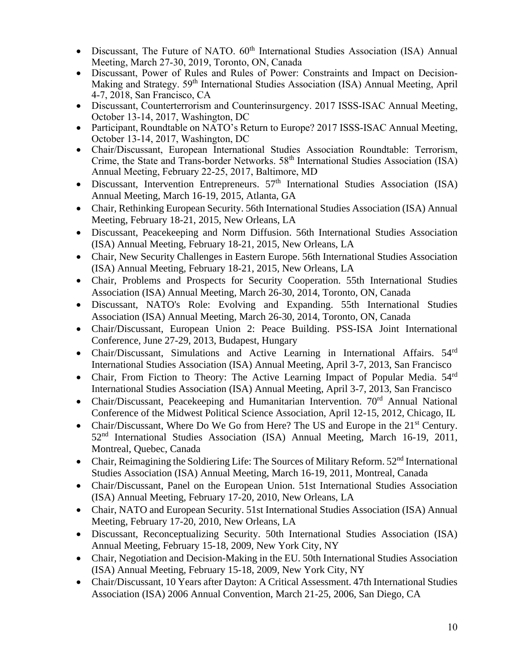- Discussant, The Future of NATO. 60<sup>th</sup> International Studies Association (ISA) Annual Meeting, March 27-30, 2019, Toronto, ON, Canada
- Discussant, Power of Rules and Rules of Power: Constraints and Impact on Decision-Making and Strategy. 59<sup>th</sup> International Studies Association (ISA) Annual Meeting, April 4-7, 2018, San Francisco, CA
- Discussant, Counterterrorism and Counterinsurgency. 2017 ISSS-ISAC Annual Meeting, October 13-14, 2017, Washington, DC
- Participant, Roundtable on NATO's Return to Europe? 2017 ISSS-ISAC Annual Meeting, October 13-14, 2017, Washington, DC
- Chair/Discussant, European International Studies Association Roundtable: Terrorism, Crime, the State and Trans-border Networks. 58<sup>th</sup> International Studies Association (ISA) Annual Meeting, February 22-25, 2017, Baltimore, MD
- Discussant, Intervention Entrepreneurs.  $57<sup>th</sup>$  International Studies Association (ISA) Annual Meeting, March 16-19, 2015, Atlanta, GA
- Chair, Rethinking European Security. 56th International Studies Association (ISA) Annual Meeting, February 18-21, 2015, New Orleans, LA
- Discussant, Peacekeeping and Norm Diffusion. 56th International Studies Association (ISA) Annual Meeting, February 18-21, 2015, New Orleans, LA
- Chair, New Security Challenges in Eastern Europe. 56th International Studies Association (ISA) Annual Meeting, February 18-21, 2015, New Orleans, LA
- Chair, Problems and Prospects for Security Cooperation. 55th International Studies Association (ISA) Annual Meeting, March 26-30, 2014, Toronto, ON, Canada
- Discussant, NATO's Role: Evolving and Expanding. 55th International Studies Association (ISA) Annual Meeting, March 26-30, 2014, Toronto, ON, Canada
- Chair/Discussant, European Union 2: Peace Building. PSS-ISA Joint International Conference, June 27-29, 2013, Budapest, Hungary
- Chair/Discussant, Simulations and Active Learning in International Affairs. 54<sup>rd</sup> International Studies Association (ISA) Annual Meeting, April 3-7, 2013, San Francisco
- Chair, From Fiction to Theory: The Active Learning Impact of Popular Media.  $54^{\text{rd}}$ International Studies Association (ISA) Annual Meeting, April 3-7, 2013, San Francisco
- Chair/Discussant, Peacekeeping and Humanitarian Intervention. 70<sup>rd</sup> Annual National Conference of the Midwest Political Science Association, April 12-15, 2012, Chicago, IL
- Chair/Discussant, Where Do We Go from Here? The US and Europe in the 21<sup>st</sup> Century. 52nd International Studies Association (ISA) Annual Meeting, March 16-19, 2011, Montreal, Quebec, Canada
- Chair, Reimagining the Soldiering Life: The Sources of Military Reform.  $52<sup>nd</sup>$  International Studies Association (ISA) Annual Meeting, March 16-19, 2011, Montreal, Canada
- Chair/Discussant, Panel on the European Union. 51st International Studies Association (ISA) Annual Meeting, February 17-20, 2010, New Orleans, LA
- Chair, NATO and European Security. 51st International Studies Association (ISA) Annual Meeting, February 17-20, 2010, New Orleans, LA
- Discussant, Reconceptualizing Security. 50th International Studies Association (ISA) Annual Meeting, February 15-18, 2009, New York City, NY
- Chair, Negotiation and Decision-Making in the EU. 50th International Studies Association (ISA) Annual Meeting, February 15-18, 2009, New York City, NY
- Chair/Discussant, 10 Years after Dayton: A Critical Assessment. 47th International Studies Association (ISA) 2006 Annual Convention, March 21-25, 2006, San Diego, CA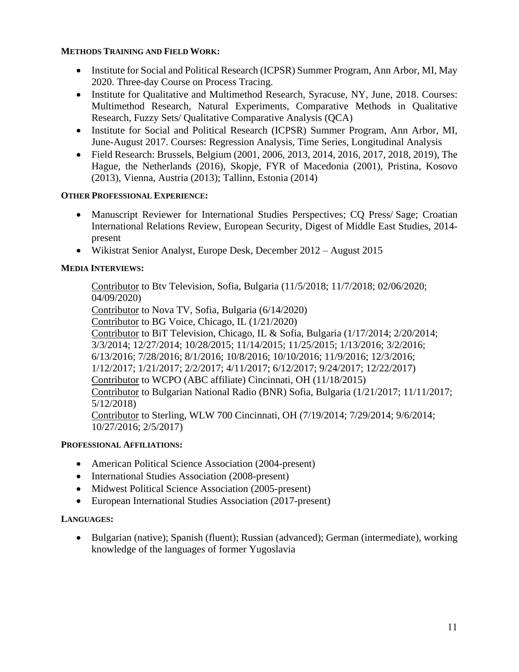### **METHODS TRAINING AND FIELD WORK:**

- Institute for Social and Political Research (ICPSR) Summer Program, Ann Arbor, MI, May 2020. Three-day Course on Process Tracing.
- Institute for Qualitative and Multimethod Research, Syracuse, NY, June, 2018. Courses: Multimethod Research, Natural Experiments, Comparative Methods in Qualitative Research, Fuzzy Sets/ Qualitative Comparative Analysis (QCA)
- Institute for Social and Political Research (ICPSR) Summer Program, Ann Arbor, MI, June-August 2017. Courses: Regression Analysis, Time Series, Longitudinal Analysis
- Field Research: Brussels, Belgium (2001, 2006, 2013, 2014, 2016, 2017, 2018, 2019), The Hague, the Netherlands (2016), Skopje, FYR of Macedonia (2001), Pristina, Kosovo (2013), Vienna, Austria (2013); Tallinn, Estonia (2014)

### **OTHER PROFESSIONAL EXPERIENCE:**

- Manuscript Reviewer for International Studies Perspectives; CO Press/Sage; Croatian International Relations Review, European Security, Digest of Middle East Studies, 2014 present
- Wikistrat Senior Analyst, Europe Desk, December 2012 August 2015

# **MEDIA INTERVIEWS:**

Contributor to Btv Television, Sofia, Bulgaria (11/5/2018; 11/7/2018; 02/06/2020; 04/09/2020) Contributor to Nova TV, Sofia, Bulgaria (6/14/2020) Contributor to BG Voice, Chicago, IL (1/21/2020) Contributor to BiT Television, Chicago, IL & Sofia, Bulgaria (1/17/2014; 2/20/2014; 3/3/2014; 12/27/2014; 10/28/2015; 11/14/2015; 11/25/2015; 1/13/2016; 3/2/2016; 6/13/2016; 7/28/2016; 8/1/2016; 10/8/2016; 10/10/2016; 11/9/2016; 12/3/2016; 1/12/2017; 1/21/2017; 2/2/2017; 4/11/2017; 6/12/2017; 9/24/2017; 12/22/2017) Contributor to WCPO (ABC affiliate) Cincinnati, OH (11/18/2015) Contributor to Bulgarian National Radio (BNR) Sofia, Bulgaria (1/21/2017; 11/11/2017; 5/12/2018) Contributor to Sterling, WLW 700 Cincinnati, OH (7/19/2014; 7/29/2014; 9/6/2014; 10/27/2016; 2/5/2017)

### **PROFESSIONAL AFFILIATIONS:**

- American Political Science Association (2004-present)
- International Studies Association (2008-present)
- Midwest Political Science Association (2005-present)
- European International Studies Association (2017-present)

### **LANGUAGES:**

• Bulgarian (native); Spanish (fluent); Russian (advanced); German (intermediate), working knowledge of the languages of former Yugoslavia